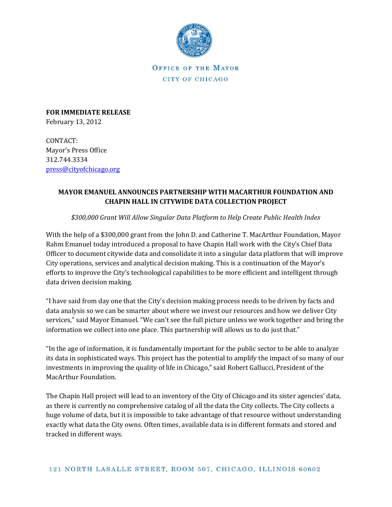

OFFICE OF THE MAYOR CITY OF CHICAGO

**FOR IMMEDIATE RELEASE** February 13, 2012

CONTACT: Mayor's Press Office 312.744.3334 [press@cityofchicago.org](mailto:press@cityofchicago.org)

## **MAYOR EMANUEL ANNOUNCES PARTNERSHIP WITH MACARTHUR FOUNDATION AND CHAPIN HALL IN CITYWIDE DATA COLLECTION PROJECT**

*\$300,000 Grant Will Allow Singular Data Platform to Help Create Public Health Index* 

With the help of a \$300,000 grant from the John D. and Catherine T. MacArthur Foundation, Mayor Rahm Emanuel today introduced a proposal to have Chapin Hall work with the City's Chief Data Officer to document citywide data and consolidate it into a singular data platform that will improve City operations, services and analytical decision making. This is a continuation of the Mayor's efforts to improve the City's technological capabilities to be more efficient and intelligent through data driven decision making.

"I have said from day one that the City's decision making process needs to be driven by facts and data analysis so we can be smarter about where we invest our resources and how we deliver City services," said Mayor Emanuel. "We can't see the full picture unless we work together and bring the information we collect into one place. This partnership will allows us to do just that."

"In the age of information, it is fundamentally important for the public sector to be able to analyze its data in sophisticated ways. This project has the potential to amplify the impact of so many of our investments in improving the quality of life in Chicago," said Robert Gallucci, President of the MacArthur Foundation.

The Chapin Hall project will lead to an inventory of the City of Chicago and its sister agencies' data, as there is currently no comprehensive catalog of all the data the City collects. The City collects a huge volume of data, but it is impossible to take advantage of that resource without understanding exactly what data the City owns. Often times, available data is in different formats and stored and tracked in different ways.